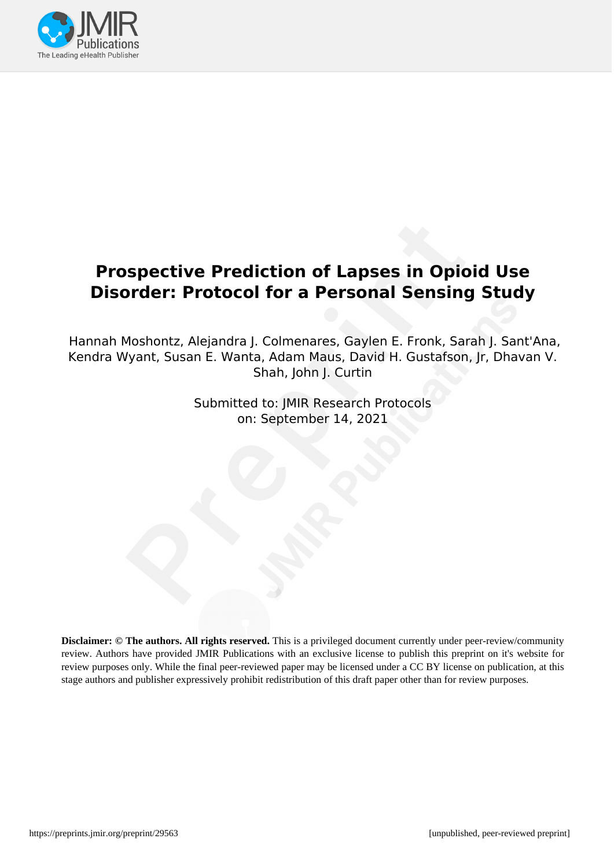

# **Prospective Prediction of Lapses in Opioid Use Disorder: Protocol for a Personal Sensing Study**

Hannah Moshontz, Alejandra J. Colmenares, Gaylen E. Fronk, Sarah J. Sant'Ana, Kendra Wyant, Susan E. Wanta, Adam Maus, David H. Gustafson, Jr, Dhavan V. Shah, John J. Curtin

> Submitted to: JMIR Research Protocols on: September 14, 2021

**Disclaimer: © The authors. All rights reserved.** This is a privileged document currently under peer-review/community review. Authors have provided JMIR Publications with an exclusive license to publish this preprint on it's website for review purposes only. While the final peer-reviewed paper may be licensed under a CC BY license on publication, at this stage authors and publisher expressively prohibit redistribution of this draft paper other than for review purposes.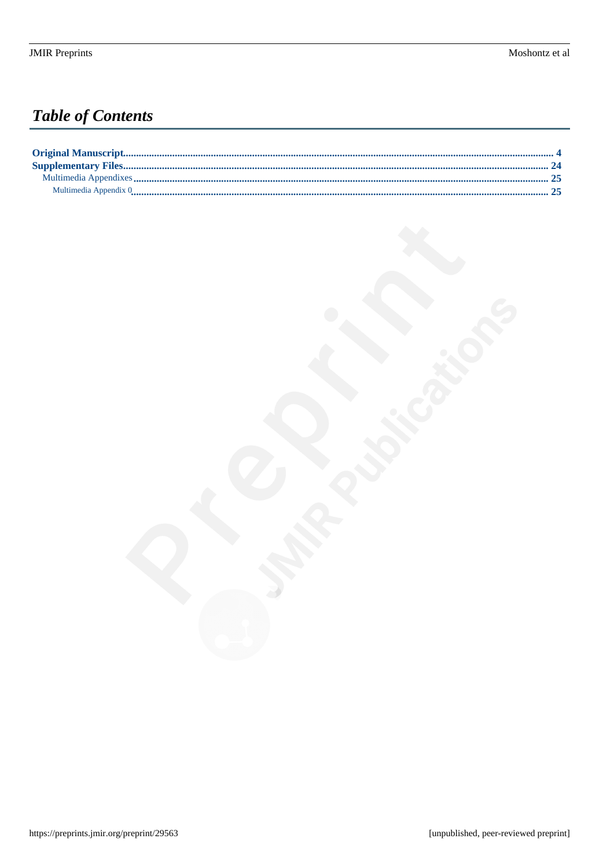# **Table of Contents**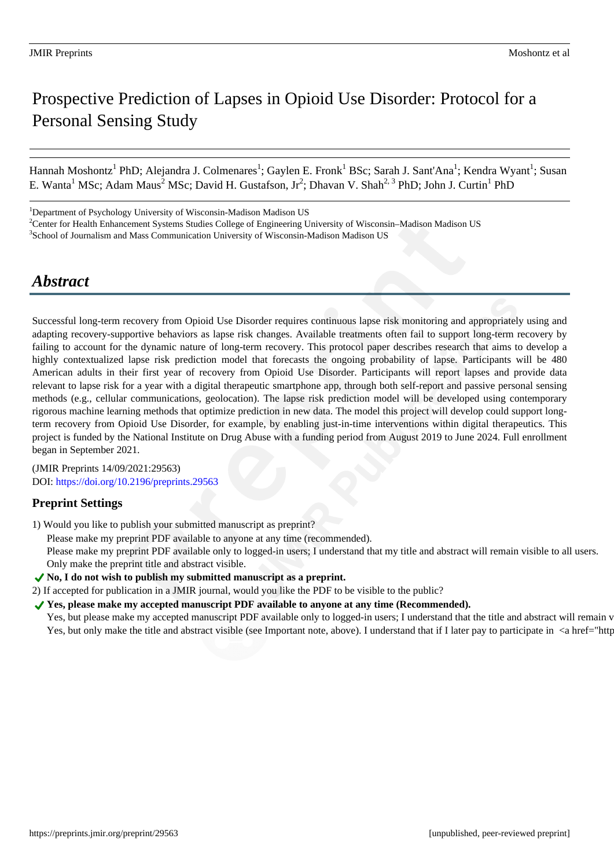# Prospective Prediction of Lapses in Opioid Use Disorder: Protocol for a Personal Sensing Study

Hannah Moshontz<sup>1</sup> PhD; Alejandra J. Colmenares<sup>1</sup>; Gaylen E. Fronk<sup>1</sup> BSc; Sarah J. Sant'Ana<sup>1</sup>; Kendra Wyant<sup>1</sup>; Susan E. Wanta<sup>1</sup> MSc; Adam Maus<sup>2</sup> MSc; David H. Gustafson, Jr<sup>2</sup>; Dhavan V. Shah<sup>2, 3</sup> PhD; John J. Curtin<sup>1</sup> PhD

<sup>1</sup>Department of Psychology University of Wisconsin-Madison Madison US

<sup>2</sup>Center for Health Enhancement Systems Studies College of Engineering University of Wisconsin–Madison Madison US

<sup>3</sup>School of Journalism and Mass Communication University of Wisconsin-Madison Madison US

# *Abstract*

Successful long-term recovery from Opioid Use Disorder requires continuous lapse risk monitoring and appropriately using and adapting recovery-supportive behaviors as lapse risk changes. Available treatments often fail to support long-term recovery by failing to account for the dynamic nature of long-term recovery. This protocol paper describes research that aims to develop a highly contextualized lapse risk prediction model that forecasts the ongoing probability of lapse. Participants will be 480 American adults in their first year of recovery from Opioid Use Disorder. Participants will report lapses and provide data relevant to lapse risk for a year with a digital therapeutic smartphone app, through both self-report and passive personal sensing methods (e.g., cellular communications, geolocation). The lapse risk prediction model will be developed using contemporary rigorous machine learning methods that optimize prediction in new data. The model this project will develop could support longterm recovery from Opioid Use Disorder, for example, by enabling just-in-time interventions within digital therapeutics. This project is funded by the National Institute on Drug Abuse with a funding period from August 2019 to June 2024. Full enrollment began in September 2021.

(JMIR Preprints 14/09/2021:29563) DOI: https://doi.org/10.2196/preprints.29563

## **Preprint Settings**

1) Would you like to publish your submitted manuscript as preprint?

Please make my preprint PDF available to anyone at any time (recommended).

Please make my preprint PDF available only to logged-in users; I understand that my title and abstract will remain visible to all users. Only make the preprint title and abstract visible.

- **No, I do not wish to publish my submitted manuscript as a preprint.**
- 2) If accepted for publication in a JMIR journal, would you like the PDF to be visible to the public?

◆ Yes, please make my accepted manuscript PDF available to anyone at any time (Recommended).

Yes, but please make my accepted manuscript PDF available only to logged-in users; I understand that the title and abstract will remain v Yes, but only make the title and abstract visible (see Important note, above). I understand that if I later pay to participate in <a href="http://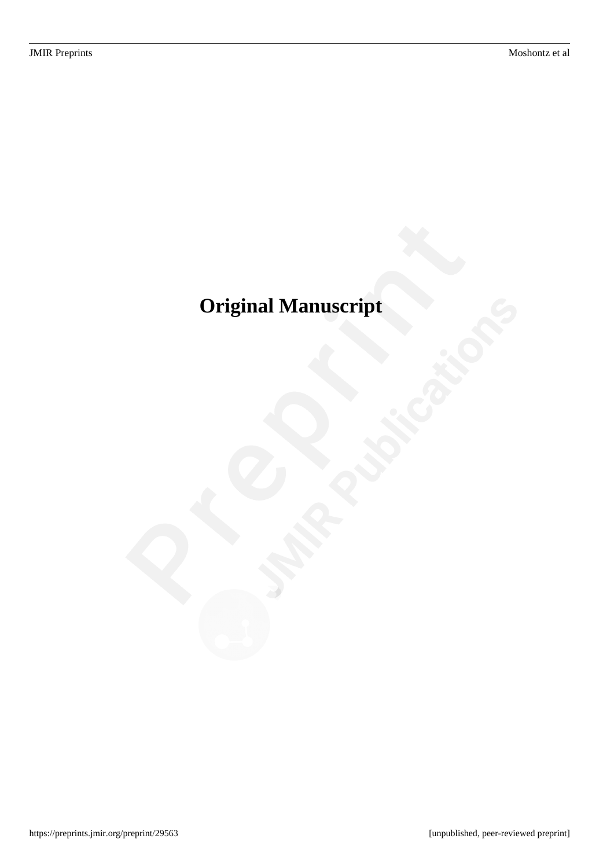# <span id="page-3-0"></span>**Original Manuscript**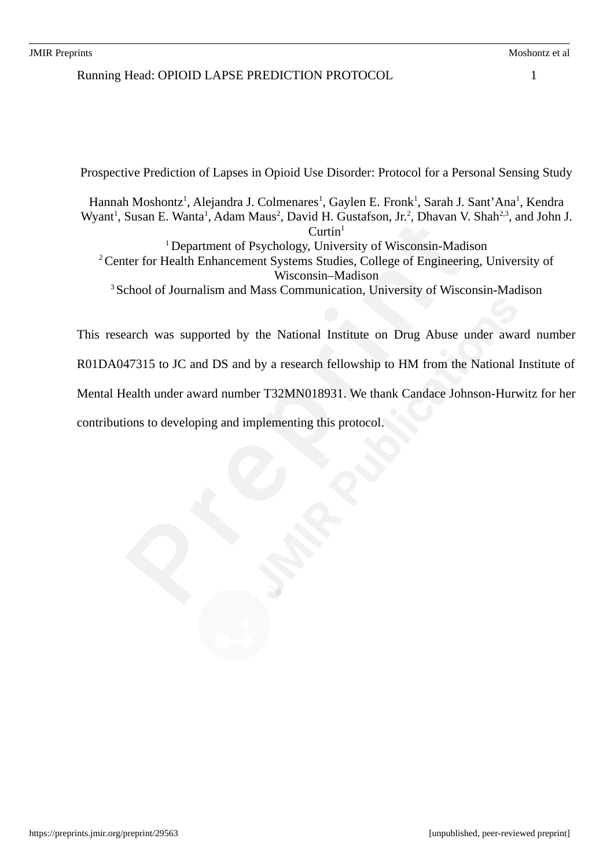Running Head: OPIOID LAPSE PREDICTION PROTOCOL 1

Prospective Prediction of Lapses in Opioid Use Disorder: Protocol for a Personal Sensing Study

Hannah Moshontz<sup>1</sup>, Alejandra J. Colmenares<sup>1</sup>, Gaylen E. Fronk<sup>1</sup>, Sarah J. Sant'Ana<sup>1</sup>, Kendra Wyant<sup>1</sup>, Susan E. Wanta<sup>1</sup>, Adam Maus<sup>2</sup>, David H. Gustafson, Jr.<sup>2</sup>, Dhavan V. Shah<sup>2,3</sup>, and John J.  $Curtin<sup>1</sup>$ <sup>1</sup> Department of Psychology, University of Wisconsin-Madison

<sup>2</sup> Center for Health Enhancement Systems Studies, College of Engineering, University of Wisconsin–Madison

<sup>3</sup> School of Journalism and Mass Communication, University of Wisconsin-Madison

This research was supported by the National Institute on Drug Abuse under award number R01DA047315 to JC and DS and by a research fellowship to HM from the National Institute of Mental Health under award number T32MN018931. We thank Candace Johnson-Hurwitz for her contributions to developing and implementing this protocol.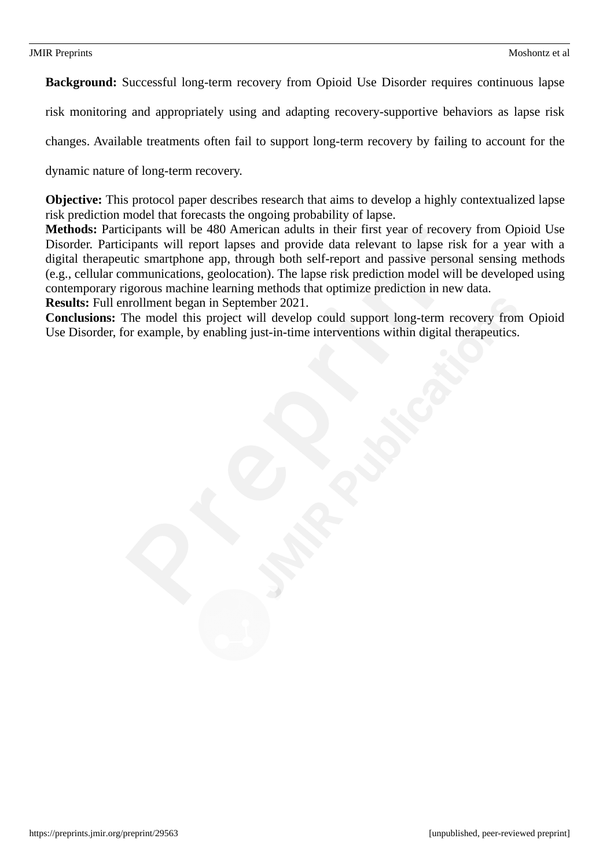**Background:** Successful long-term recovery from Opioid Use Disorder requires continuous lapse

risk monitoring and appropriately using and adapting recovery-supportive behaviors as lapse risk

changes. Available treatments often fail to support long-term recovery by failing to account for the

dynamic nature of long-term recovery.

**Objective:** This protocol paper describes research that aims to develop a highly contextualized lapse risk prediction model that forecasts the ongoing probability of lapse.

**Methods:** Participants will be 480 American adults in their first year of recovery from Opioid Use Disorder. Participants will report lapses and provide data relevant to lapse risk for a year with a digital therapeutic smartphone app, through both self-report and passive personal sensing methods (e.g., cellular communications, geolocation). The lapse risk prediction model will be developed using contemporary rigorous machine learning methods that optimize prediction in new data.

**Results:** Full enrollment began in September 2021.

**Conclusions:** The model this project will develop could support long-term recovery from Opioid Use Disorder, for example, by enabling just-in-time interventions within digital therapeutics.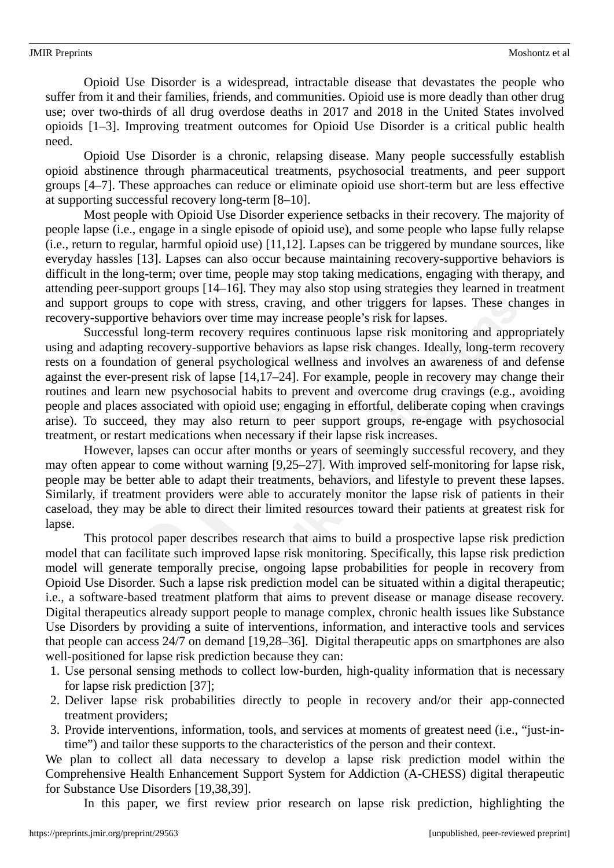Opioid Use Disorder is a widespread, intractable disease that devastates the people who suffer from it and their families, friends, and communities. Opioid use is more deadly than other drug use; over two-thirds of all drug overdose deaths in 2017 and 2018 in the United States involved opioids [1–3]. Improving treatment outcomes for Opioid Use Disorder is a critical public health need.

Opioid Use Disorder is a chronic, relapsing disease. Many people successfully establish opioid abstinence through pharmaceutical treatments, psychosocial treatments, and peer support groups [4–7]. These approaches can reduce or eliminate opioid use short-term but are less effective at supporting successful recovery long-term [8–10].

Most people with Opioid Use Disorder experience setbacks in their recovery. The majority of people lapse (i.e., engage in a single episode of opioid use), and some people who lapse fully relapse (i.e., return to regular, harmful opioid use) [11,12]. Lapses can be triggered by mundane sources, like everyday hassles [13]. Lapses can also occur because maintaining recovery-supportive behaviors is difficult in the long-term; over time, people may stop taking medications, engaging with therapy, and attending peer-support groups [14–16]. They may also stop using strategies they learned in treatment and support groups to cope with stress, craving, and other triggers for lapses. These changes in recovery-supportive behaviors over time may increase people's risk for lapses.

Successful long-term recovery requires continuous lapse risk monitoring and appropriately using and adapting recovery-supportive behaviors as lapse risk changes. Ideally, long-term recovery rests on a foundation of general psychological wellness and involves an awareness of and defense against the ever-present risk of lapse [14,17–24]. For example, people in recovery may change their routines and learn new psychosocial habits to prevent and overcome drug cravings (e.g., avoiding people and places associated with opioid use; engaging in effortful, deliberate coping when cravings arise). To succeed, they may also return to peer support groups, re-engage with psychosocial treatment, or restart medications when necessary if their lapse risk increases.

However, lapses can occur after months or years of seemingly successful recovery, and they may often appear to come without warning [9,25–27]. With improved self-monitoring for lapse risk, people may be better able to adapt their treatments, behaviors, and lifestyle to prevent these lapses. Similarly, if treatment providers were able to accurately monitor the lapse risk of patients in their caseload, they may be able to direct their limited resources toward their patients at greatest risk for lapse.

This protocol paper describes research that aims to build a prospective lapse risk prediction model that can facilitate such improved lapse risk monitoring. Specifically, this lapse risk prediction model will generate temporally precise, ongoing lapse probabilities for people in recovery from Opioid Use Disorder. Such a lapse risk prediction model can be situated within a digital therapeutic; i.e., a software-based treatment platform that aims to prevent disease or manage disease recovery. Digital therapeutics already support people to manage complex, chronic health issues like Substance Use Disorders by providing a suite of interventions, information, and interactive tools and services that people can access 24/7 on demand [19,28–36]. Digital therapeutic apps on smartphones are also well-positioned for lapse risk prediction because they can:

- 1. Use personal sensing methods to collect low-burden, high-quality information that is necessary for lapse risk prediction [37];
- 2. Deliver lapse risk probabilities directly to people in recovery and/or their app-connected treatment providers;
- 3. Provide interventions, information, tools, and services at moments of greatest need (i.e., "just-intime") and tailor these supports to the characteristics of the person and their context.

We plan to collect all data necessary to develop a lapse risk prediction model within the Comprehensive Health Enhancement Support System for Addiction (A-CHESS) digital therapeutic for Substance Use Disorders [19,38,39].

In this paper, we first review prior research on lapse risk prediction, highlighting the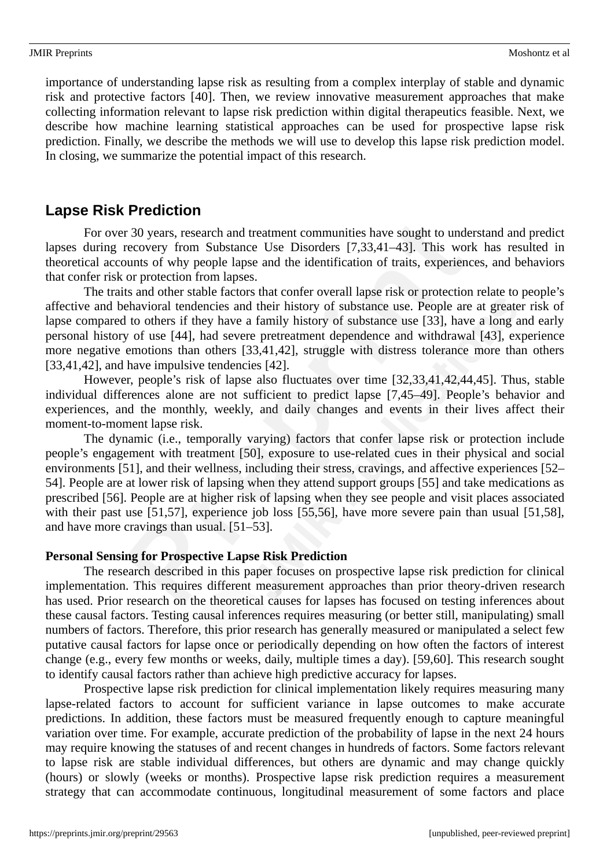importance of understanding lapse risk as resulting from a complex interplay of stable and dynamic risk and protective factors [40]. Then, we review innovative measurement approaches that make collecting information relevant to lapse risk prediction within digital therapeutics feasible. Next, we describe how machine learning statistical approaches can be used for prospective lapse risk prediction. Finally, we describe the methods we will use to develop this lapse risk prediction model. In closing, we summarize the potential impact of this research.

# **Lapse Risk Prediction**

For over 30 years, research and treatment communities have sought to understand and predict lapses during recovery from Substance Use Disorders [7,33,41–43]. This work has resulted in theoretical accounts of why people lapse and the identification of traits, experiences, and behaviors that confer risk or protection from lapses.

The traits and other stable factors that confer overall lapse risk or protection relate to people's affective and behavioral tendencies and their history of substance use. People are at greater risk of lapse compared to others if they have a family history of substance use [33], have a long and early personal history of use [44], had severe pretreatment dependence and withdrawal [43], experience more negative emotions than others [33,41,42], struggle with distress tolerance more than others [33,41,42], and have impulsive tendencies [42].

However, people's risk of lapse also fluctuates over time [32,33,41,42,44,45]. Thus, stable individual differences alone are not sufficient to predict lapse [7,45–49]. People's behavior and experiences, and the monthly, weekly, and daily changes and events in their lives affect their moment-to-moment lapse risk.

The dynamic (i.e., temporally varying) factors that confer lapse risk or protection include people's engagement with treatment [50], exposure to use-related cues in their physical and social environments [51], and their wellness, including their stress, cravings, and affective experiences [52– 54]. People are at lower risk of lapsing when they attend support groups [55] and take medications as prescribed [56]. People are at higher risk of lapsing when they see people and visit places associated with their past use [51,57], experience job loss [55,56], have more severe pain than usual [51,58], and have more cravings than usual. [51–53].

### **Personal Sensing for Prospective Lapse Risk Prediction**

The research described in this paper focuses on prospective lapse risk prediction for clinical implementation. This requires different measurement approaches than prior theory-driven research has used. Prior research on the theoretical causes for lapses has focused on testing inferences about these causal factors. Testing causal inferences requires measuring (or better still, manipulating) small numbers of factors. Therefore, this prior research has generally measured or manipulated a select few putative causal factors for lapse once or periodically depending on how often the factors of interest change (e.g., every few months or weeks, daily, multiple times a day). [59,60]. This research sought to identify causal factors rather than achieve high predictive accuracy for lapses.

Prospective lapse risk prediction for clinical implementation likely requires measuring many lapse-related factors to account for sufficient variance in lapse outcomes to make accurate predictions. In addition, these factors must be measured frequently enough to capture meaningful variation over time. For example, accurate prediction of the probability of lapse in the next 24 hours may require knowing the statuses of and recent changes in hundreds of factors. Some factors relevant to lapse risk are stable individual differences, but others are dynamic and may change quickly (hours) or slowly (weeks or months). Prospective lapse risk prediction requires a measurement strategy that can accommodate continuous, longitudinal measurement of some factors and place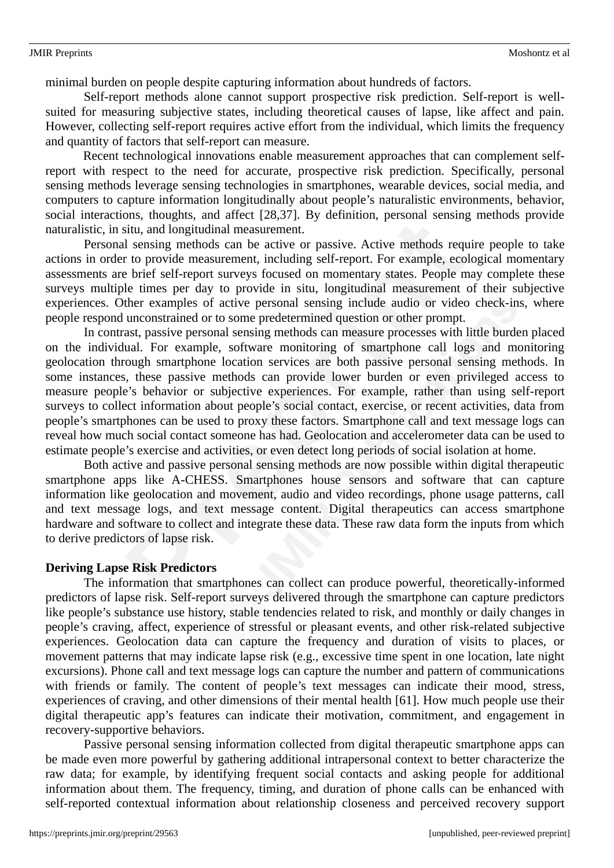minimal burden on people despite capturing information about hundreds of factors.

Self-report methods alone cannot support prospective risk prediction. Self-report is wellsuited for measuring subjective states, including theoretical causes of lapse, like affect and pain. However, collecting self-report requires active effort from the individual, which limits the frequency and quantity of factors that self-report can measure.

Recent technological innovations enable measurement approaches that can complement selfreport with respect to the need for accurate, prospective risk prediction. Specifically, personal sensing methods leverage sensing technologies in smartphones, wearable devices, social media, and computers to capture information longitudinally about people's naturalistic environments, behavior, social interactions, thoughts, and affect [28,37]. By definition, personal sensing methods provide naturalistic, in situ, and longitudinal measurement.

Personal sensing methods can be active or passive. Active methods require people to take actions in order to provide measurement, including self-report. For example, ecological momentary assessments are brief self-report surveys focused on momentary states. People may complete these surveys multiple times per day to provide in situ, longitudinal measurement of their subjective experiences. Other examples of active personal sensing include audio or video check-ins, where people respond unconstrained or to some predetermined question or other prompt.

In contrast, passive personal sensing methods can measure processes with little burden placed on the individual. For example, software monitoring of smartphone call logs and monitoring geolocation through smartphone location services are both passive personal sensing methods. In some instances, these passive methods can provide lower burden or even privileged access to measure people's behavior or subjective experiences. For example, rather than using self-report surveys to collect information about people's social contact, exercise, or recent activities, data from people's smartphones can be used to proxy these factors. Smartphone call and text message logs can reveal how much social contact someone has had. Geolocation and accelerometer data can be used to estimate people's exercise and activities, or even detect long periods of social isolation at home.

Both active and passive personal sensing methods are now possible within digital therapeutic smartphone apps like A-CHESS. Smartphones house sensors and software that can capture information like geolocation and movement, audio and video recordings, phone usage patterns, call and text message logs, and text message content. Digital therapeutics can access smartphone hardware and software to collect and integrate these data. These raw data form the inputs from which to derive predictors of lapse risk.

### **Deriving Lapse Risk Predictors**

The information that smartphones can collect can produce powerful, theoretically-informed predictors of lapse risk. Self-report surveys delivered through the smartphone can capture predictors like people's substance use history, stable tendencies related to risk, and monthly or daily changes in people's craving, affect, experience of stressful or pleasant events, and other risk-related subjective experiences. Geolocation data can capture the frequency and duration of visits to places, or movement patterns that may indicate lapse risk (e.g., excessive time spent in one location, late night excursions). Phone call and text message logs can capture the number and pattern of communications with friends or family. The content of people's text messages can indicate their mood, stress, experiences of craving, and other dimensions of their mental health [61]. How much people use their digital therapeutic app's features can indicate their motivation, commitment, and engagement in recovery-supportive behaviors.

Passive personal sensing information collected from digital therapeutic smartphone apps can be made even more powerful by gathering additional intrapersonal context to better characterize the raw data; for example, by identifying frequent social contacts and asking people for additional information about them. The frequency, timing, and duration of phone calls can be enhanced with self-reported contextual information about relationship closeness and perceived recovery support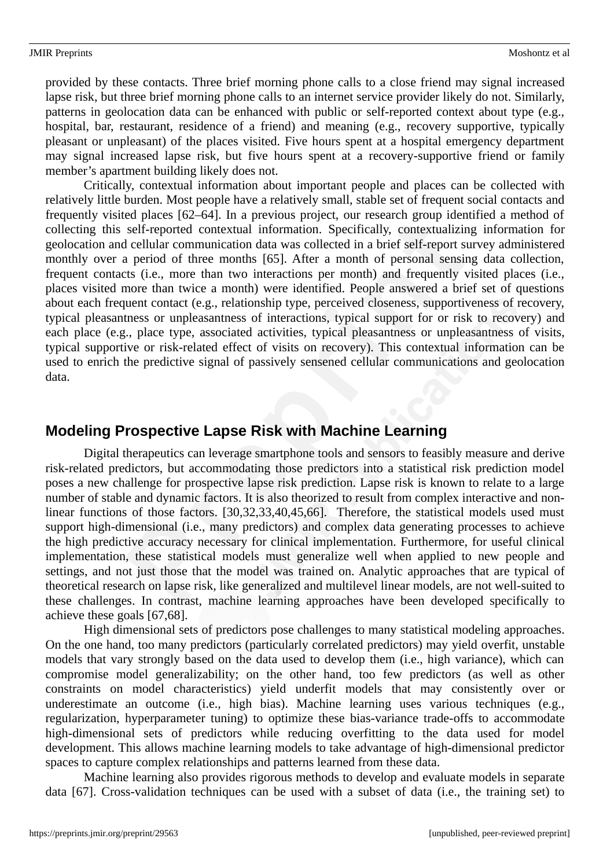provided by these contacts. Three brief morning phone calls to a close friend may signal increased lapse risk, but three brief morning phone calls to an internet service provider likely do not. Similarly, patterns in geolocation data can be enhanced with public or self-reported context about type (e.g., hospital, bar, restaurant, residence of a friend) and meaning (e.g., recovery supportive, typically pleasant or unpleasant) of the places visited. Five hours spent at a hospital emergency department may signal increased lapse risk, but five hours spent at a recovery-supportive friend or family member's apartment building likely does not.

Critically, contextual information about important people and places can be collected with relatively little burden. Most people have a relatively small, stable set of frequent social contacts and frequently visited places [62–64]. In a previous project, our research group identified a method of collecting this self-reported contextual information. Specifically, contextualizing information for geolocation and cellular communication data was collected in a brief self-report survey administered monthly over a period of three months [65]. After a month of personal sensing data collection, frequent contacts (i.e., more than two interactions per month) and frequently visited places (i.e., places visited more than twice a month) were identified. People answered a brief set of questions about each frequent contact (e.g., relationship type, perceived closeness, supportiveness of recovery, typical pleasantness or unpleasantness of interactions, typical support for or risk to recovery) and each place (e.g., place type, associated activities, typical pleasantness or unpleasantness of visits, typical supportive or risk-related effect of visits on recovery). This contextual information can be used to enrich the predictive signal of passively sensened cellular communications and geolocation data.

# **Modeling Prospective Lapse Risk with Machine Learning**

Digital therapeutics can leverage smartphone tools and sensors to feasibly measure and derive risk-related predictors, but accommodating those predictors into a statistical risk prediction model poses a new challenge for prospective lapse risk prediction. Lapse risk is known to relate to a large number of stable and dynamic factors. It is also theorized to result from complex interactive and nonlinear functions of those factors. [30,32,33,40,45,66]. Therefore, the statistical models used must support high-dimensional (i.e., many predictors) and complex data generating processes to achieve the high predictive accuracy necessary for clinical implementation. Furthermore, for useful clinical implementation, these statistical models must generalize well when applied to new people and settings, and not just those that the model was trained on. Analytic approaches that are typical of theoretical research on lapse risk, like generalized and multilevel linear models, are not well-suited to these challenges. In contrast, machine learning approaches have been developed specifically to achieve these goals [67,68].

High dimensional sets of predictors pose challenges to many statistical modeling approaches. On the one hand, too many predictors (particularly correlated predictors) may yield overfit, unstable models that vary strongly based on the data used to develop them (i.e., high variance), which can compromise model generalizability; on the other hand, too few predictors (as well as other constraints on model characteristics) yield underfit models that may consistently over or underestimate an outcome (i.e., high bias). Machine learning uses various techniques (e.g., regularization, hyperparameter tuning) to optimize these bias-variance trade-offs to accommodate high-dimensional sets of predictors while reducing overfitting to the data used for model development. This allows machine learning models to take advantage of high-dimensional predictor spaces to capture complex relationships and patterns learned from these data.

Machine learning also provides rigorous methods to develop and evaluate models in separate data [67]. Cross-validation techniques can be used with a subset of data (i.e., the training set) to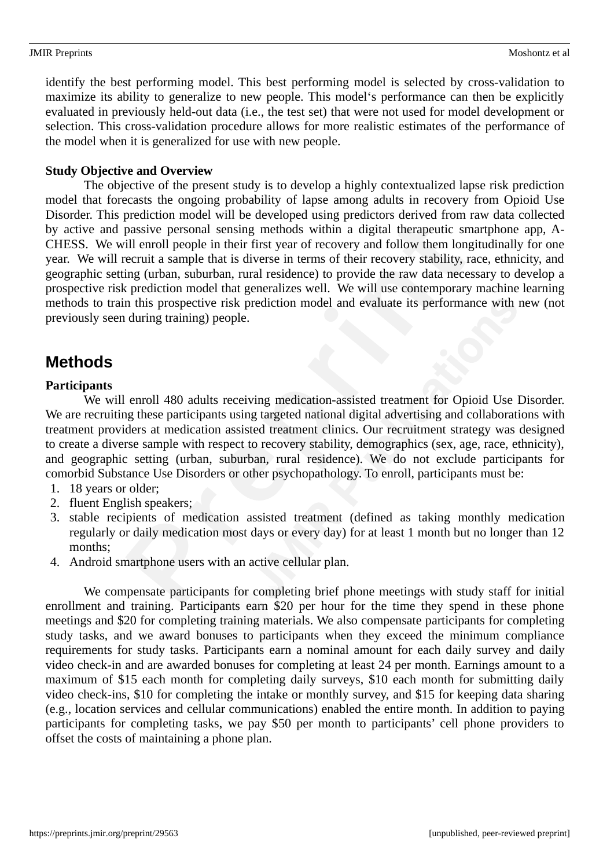identify the best performing model. This best performing model is selected by cross-validation to maximize its ability to generalize to new people. This model's performance can then be explicitly evaluated in previously held-out data (i.e., the test set) that were not used for model development or selection. This cross-validation procedure allows for more realistic estimates of the performance of the model when it is generalized for use with new people.

### **Study Objective and Overview**

The objective of the present study is to develop a highly contextualized lapse risk prediction model that forecasts the ongoing probability of lapse among adults in recovery from Opioid Use Disorder. This prediction model will be developed using predictors derived from raw data collected by active and passive personal sensing methods within a digital therapeutic smartphone app, A-CHESS. We will enroll people in their first year of recovery and follow them longitudinally for one year. We will recruit a sample that is diverse in terms of their recovery stability, race, ethnicity, and geographic setting (urban, suburban, rural residence) to provide the raw data necessary to develop a prospective risk prediction model that generalizes well. We will use contemporary machine learning methods to train this prospective risk prediction model and evaluate its performance with new (not previously seen during training) people.

# **Methods**

## **Participants**

We will enroll 480 adults receiving medication-assisted treatment for Opioid Use Disorder. We are recruiting these participants using targeted national digital advertising and collaborations with treatment providers at medication assisted treatment clinics. Our recruitment strategy was designed to create a diverse sample with respect to recovery stability, demographics (sex, age, race, ethnicity), and geographic setting (urban, suburban, rural residence). We do not exclude participants for comorbid Substance Use Disorders or other psychopathology. To enroll, participants must be:

- 1. 18 years or older;
- 2. fluent English speakers;
- 3. stable recipients of medication assisted treatment (defined as taking monthly medication regularly or daily medication most days or every day) for at least 1 month but no longer than 12 months;
- 4. Android smartphone users with an active cellular plan.

We compensate participants for completing brief phone meetings with study staff for initial enrollment and training. Participants earn \$20 per hour for the time they spend in these phone meetings and \$20 for completing training materials. We also compensate participants for completing study tasks, and we award bonuses to participants when they exceed the minimum compliance requirements for study tasks. Participants earn a nominal amount for each daily survey and daily video check-in and are awarded bonuses for completing at least 24 per month. Earnings amount to a maximum of \$15 each month for completing daily surveys, \$10 each month for submitting daily video check-ins, \$10 for completing the intake or monthly survey, and \$15 for keeping data sharing (e.g., location services and cellular communications) enabled the entire month. In addition to paying participants for completing tasks, we pay \$50 per month to participants' cell phone providers to offset the costs of maintaining a phone plan.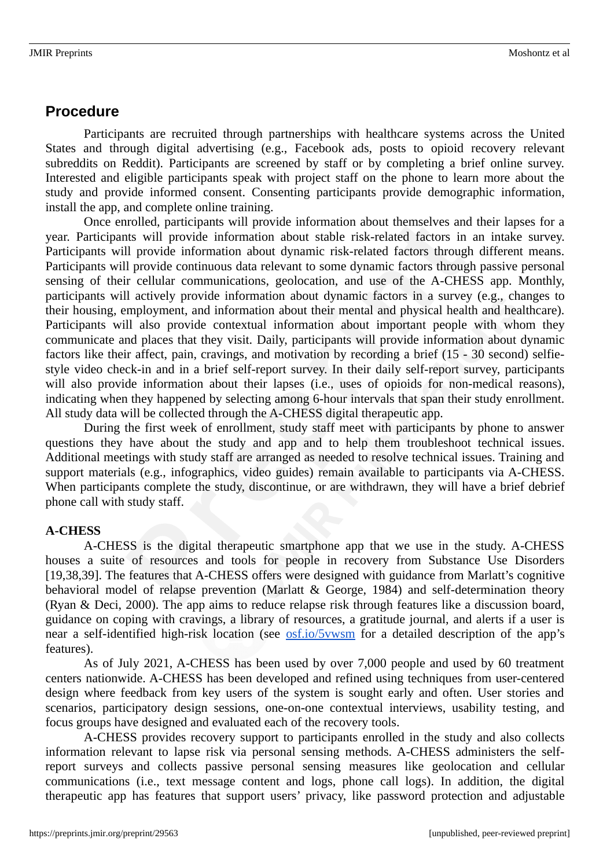## **Procedure**

Participants are recruited through partnerships with healthcare systems across the United States and through digital advertising (e.g., Facebook ads, posts to opioid recovery relevant subreddits on Reddit). Participants are screened by staff or by completing a brief online survey. Interested and eligible participants speak with project staff on the phone to learn more about the study and provide informed consent. Consenting participants provide demographic information, install the app, and complete online training.

Once enrolled, participants will provide information about themselves and their lapses for a year. Participants will provide information about stable risk-related factors in an intake survey. Participants will provide information about dynamic risk-related factors through different means. Participants will provide continuous data relevant to some dynamic factors through passive personal sensing of their cellular communications, geolocation, and use of the A-CHESS app. Monthly, participants will actively provide information about dynamic factors in a survey (e.g., changes to their housing, employment, and information about their mental and physical health and healthcare). Participants will also provide contextual information about important people with whom they communicate and places that they visit. Daily, participants will provide information about dynamic factors like their affect, pain, cravings, and motivation by recording a brief (15 - 30 second) selfiestyle video check-in and in a brief self-report survey. In their daily self-report survey, participants will also provide information about their lapses (i.e., uses of opioids for non-medical reasons), indicating when they happened by selecting among 6-hour intervals that span their study enrollment. All study data will be collected through the A-CHESS digital therapeutic app.

During the first week of enrollment, study staff meet with participants by phone to answer questions they have about the study and app and to help them troubleshoot technical issues. Additional meetings with study staff are arranged as needed to resolve technical issues. Training and support materials (e.g., infographics, video guides) remain available to participants via A-CHESS. When participants complete the study, discontinue, or are withdrawn, they will have a brief debrief phone call with study staff.

### **A-CHESS**

A-CHESS is the digital therapeutic smartphone app that we use in the study. A-CHESS houses a suite of resources and tools for people in recovery from Substance Use Disorders [19,38,39]. The features that A-CHESS offers were designed with guidance from Marlatt's cognitive behavioral model of relapse prevention (Marlatt & George, 1984) and self-determination theory (Ryan & Deci, 2000). The app aims to reduce relapse risk through features like a discussion board, guidance on coping with cravings, a library of resources, a gratitude journal, and alerts if a user is near a self-identified high-risk location (see **osf.io/5vwsm** for a detailed description of the app's features).

As of July 2021, A-CHESS has been used by over 7,000 people and used by 60 treatment centers nationwide. A-CHESS has been developed and refined using techniques from user-centered design where feedback from key users of the system is sought early and often. User stories and scenarios, participatory design sessions, one-on-one contextual interviews, usability testing, and focus groups have designed and evaluated each of the recovery tools.

A-CHESS provides recovery support to participants enrolled in the study and also collects information relevant to lapse risk via personal sensing methods. A-CHESS administers the selfreport surveys and collects passive personal sensing measures like geolocation and cellular communications (i.e., text message content and logs, phone call logs). In addition, the digital therapeutic app has features that support users' privacy, like password protection and adjustable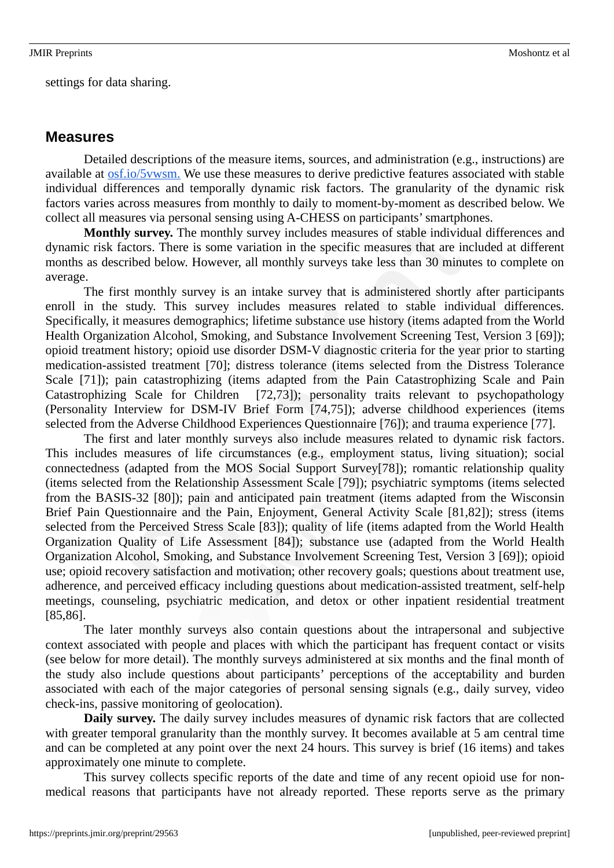settings for data sharing.

### **Measures**

Detailed descriptions of the measure items, sources, and administration (e.g., instructions) are available at osf.io/5vwsm. We use these measures to derive predictive features associated with stable individual differences and temporally dynamic risk factors. The granularity of the dynamic risk factors varies across measures from monthly to daily to moment-by-moment as described below. We collect all measures via personal sensing using A-CHESS on participants' smartphones.

**Monthly survey.** The monthly survey includes measures of stable individual differences and dynamic risk factors. There is some variation in the specific measures that are included at different months as described below. However, all monthly surveys take less than 30 minutes to complete on average.

The first monthly survey is an intake survey that is administered shortly after participants enroll in the study. This survey includes measures related to stable individual differences. Specifically, it measures demographics; lifetime substance use history (items adapted from the World Health Organization Alcohol, Smoking, and Substance Involvement Screening Test, Version 3 [69]); opioid treatment history; opioid use disorder DSM-V diagnostic criteria for the year prior to starting medication-assisted treatment [70]; distress tolerance (items selected from the Distress Tolerance Scale [71]); pain catastrophizing (items adapted from the Pain Catastrophizing Scale and Pain Catastrophizing Scale for Children [72,73]); personality traits relevant to psychopathology (Personality Interview for DSM-IV Brief Form [74,75]); adverse childhood experiences (items selected from the Adverse Childhood Experiences Questionnaire [76]); and trauma experience [77].

The first and later monthly surveys also include measures related to dynamic risk factors. This includes measures of life circumstances (e.g., employment status, living situation); social connectedness (adapted from the MOS Social Support Survey[78]); romantic relationship quality (items selected from the Relationship Assessment Scale [79]); psychiatric symptoms (items selected from the BASIS-32 [80]); pain and anticipated pain treatment (items adapted from the Wisconsin Brief Pain Questionnaire and the Pain, Enjoyment, General Activity Scale [81,82]); stress (items selected from the Perceived Stress Scale [83]); quality of life (items adapted from the World Health Organization Quality of Life Assessment [84]); substance use (adapted from the World Health Organization Alcohol, Smoking, and Substance Involvement Screening Test, Version 3 [69]); opioid use; opioid recovery satisfaction and motivation; other recovery goals; questions about treatment use, adherence, and perceived efficacy including questions about medication-assisted treatment, self-help meetings, counseling, psychiatric medication, and detox or other inpatient residential treatment [85,86].

The later monthly surveys also contain questions about the intrapersonal and subjective context associated with people and places with which the participant has frequent contact or visits (see below for more detail). The monthly surveys administered at six months and the final month of the study also include questions about participants' perceptions of the acceptability and burden associated with each of the major categories of personal sensing signals (e.g., daily survey, video check-ins, passive monitoring of geolocation).

**Daily survey.** The daily survey includes measures of dynamic risk factors that are collected with greater temporal granularity than the monthly survey. It becomes available at 5 am central time and can be completed at any point over the next 24 hours. This survey is brief (16 items) and takes approximately one minute to complete.

This survey collects specific reports of the date and time of any recent opioid use for nonmedical reasons that participants have not already reported. These reports serve as the primary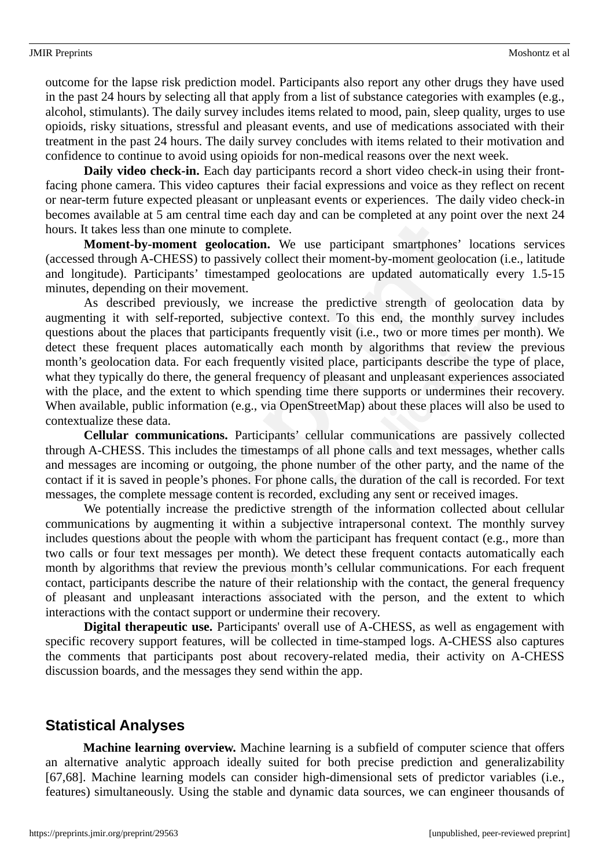outcome for the lapse risk prediction model. Participants also report any other drugs they have used in the past 24 hours by selecting all that apply from a list of substance categories with examples (e.g., alcohol, stimulants). The daily survey includes items related to mood, pain, sleep quality, urges to use opioids, risky situations, stressful and pleasant events, and use of medications associated with their treatment in the past 24 hours. The daily survey concludes with items related to their motivation and confidence to continue to avoid using opioids for non-medical reasons over the next week.

**Daily video check-in.** Each day participants record a short video check-in using their frontfacing phone camera. This video captures their facial expressions and voice as they reflect on recent or near-term future expected pleasant or unpleasant events or experiences. The daily video check-in becomes available at 5 am central time each day and can be completed at any point over the next 24 hours. It takes less than one minute to complete.

**Moment-by-moment geolocation.** We use participant smartphones' locations services (accessed through A-CHESS) to passively collect their moment-by-moment geolocation (i.e., latitude and longitude). Participants' timestamped geolocations are updated automatically every 1.5-15 minutes, depending on their movement.

As described previously, we increase the predictive strength of geolocation data by augmenting it with self-reported, subjective context. To this end, the monthly survey includes questions about the places that participants frequently visit (i.e., two or more times per month). We detect these frequent places automatically each month by algorithms that review the previous month's geolocation data. For each frequently visited place, participants describe the type of place, what they typically do there, the general frequency of pleasant and unpleasant experiences associated with the place, and the extent to which spending time there supports or undermines their recovery. When available, public information (e.g., via OpenStreetMap) about these places will also be used to contextualize these data.

**Cellular communications.** Participants' cellular communications are passively collected through A-CHESS. This includes the timestamps of all phone calls and text messages, whether calls and messages are incoming or outgoing, the phone number of the other party, and the name of the contact if it is saved in people's phones. For phone calls, the duration of the call is recorded. For text messages, the complete message content is recorded, excluding any sent or received images.

We potentially increase the predictive strength of the information collected about cellular communications by augmenting it within a subjective intrapersonal context. The monthly survey includes questions about the people with whom the participant has frequent contact (e.g., more than two calls or four text messages per month). We detect these frequent contacts automatically each month by algorithms that review the previous month's cellular communications. For each frequent contact, participants describe the nature of their relationship with the contact, the general frequency of pleasant and unpleasant interactions associated with the person, and the extent to which interactions with the contact support or undermine their recovery.

**Digital therapeutic use.** Participants' overall use of A-CHESS, as well as engagement with specific recovery support features, will be collected in time-stamped logs. A-CHESS also captures the comments that participants post about recovery-related media, their activity on A-CHESS discussion boards, and the messages they send within the app.

## **Statistical Analyses**

**Machine learning overview.** Machine learning is a subfield of computer science that offers an alternative analytic approach ideally suited for both precise prediction and generalizability [67,68]. Machine learning models can consider high-dimensional sets of predictor variables (i.e., features) simultaneously. Using the stable and dynamic data sources, we can engineer thousands of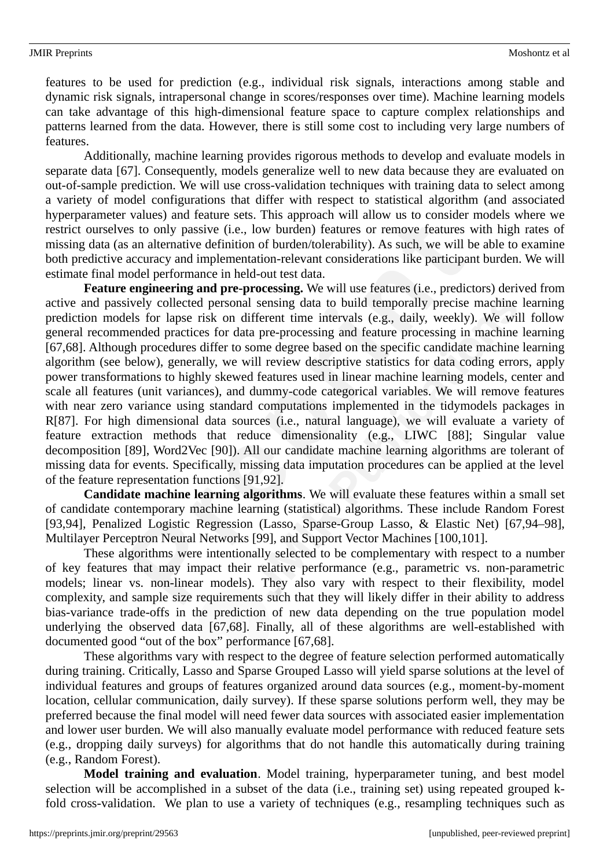features to be used for prediction (e.g., individual risk signals, interactions among stable and dynamic risk signals, intrapersonal change in scores/responses over time). Machine learning models can take advantage of this high-dimensional feature space to capture complex relationships and patterns learned from the data. However, there is still some cost to including very large numbers of features.

Additionally, machine learning provides rigorous methods to develop and evaluate models in separate data [67]. Consequently, models generalize well to new data because they are evaluated on out-of-sample prediction. We will use cross-validation techniques with training data to select among a variety of model configurations that differ with respect to statistical algorithm (and associated hyperparameter values) and feature sets. This approach will allow us to consider models where we restrict ourselves to only passive (i.e., low burden) features or remove features with high rates of missing data (as an alternative definition of burden/tolerability). As such, we will be able to examine both predictive accuracy and implementation-relevant considerations like participant burden. We will estimate final model performance in held-out test data.

**Feature engineering and pre-processing.** We will use features (i.e., predictors) derived from active and passively collected personal sensing data to build temporally precise machine learning prediction models for lapse risk on different time intervals (e.g., daily, weekly). We will follow general recommended practices for data pre-processing and feature processing in machine learning [67,68]. Although procedures differ to some degree based on the specific candidate machine learning algorithm (see below), generally, we will review descriptive statistics for data coding errors, apply power transformations to highly skewed features used in linear machine learning models, center and scale all features (unit variances), and dummy-code categorical variables. We will remove features with near zero variance using standard computations implemented in the tidymodels packages in R[87]. For high dimensional data sources (i.e., natural language), we will evaluate a variety of feature extraction methods that reduce dimensionality (e.g., LIWC [88]; Singular value decomposition [89], Word2Vec [90]). All our candidate machine learning algorithms are tolerant of missing data for events. Specifically, missing data imputation procedures can be applied at the level of the feature representation functions [91,92].

**Candidate machine learning algorithms**. We will evaluate these features within a small set of candidate contemporary machine learning (statistical) algorithms. These include Random Forest [93,94], Penalized Logistic Regression (Lasso, Sparse-Group Lasso, & Elastic Net) [67,94–98], Multilayer Perceptron Neural Networks [99], and Support Vector Machines [100,101].

These algorithms were intentionally selected to be complementary with respect to a number of key features that may impact their relative performance (e.g., parametric vs. non-parametric models; linear vs. non-linear models). They also vary with respect to their flexibility, model complexity, and sample size requirements such that they will likely differ in their ability to address bias-variance trade-offs in the prediction of new data depending on the true population model underlying the observed data [67,68]. Finally, all of these algorithms are well-established with documented good "out of the box" performance [67,68].

These algorithms vary with respect to the degree of feature selection performed automatically during training. Critically, Lasso and Sparse Grouped Lasso will yield sparse solutions at the level of individual features and groups of features organized around data sources (e.g., moment-by-moment location, cellular communication, daily survey). If these sparse solutions perform well, they may be preferred because the final model will need fewer data sources with associated easier implementation and lower user burden. We will also manually evaluate model performance with reduced feature sets (e.g., dropping daily surveys) for algorithms that do not handle this automatically during training (e.g., Random Forest).

**Model training and evaluation**. Model training, hyperparameter tuning, and best model selection will be accomplished in a subset of the data (i.e., training set) using repeated grouped kfold cross-validation. We plan to use a variety of techniques (e.g., resampling techniques such as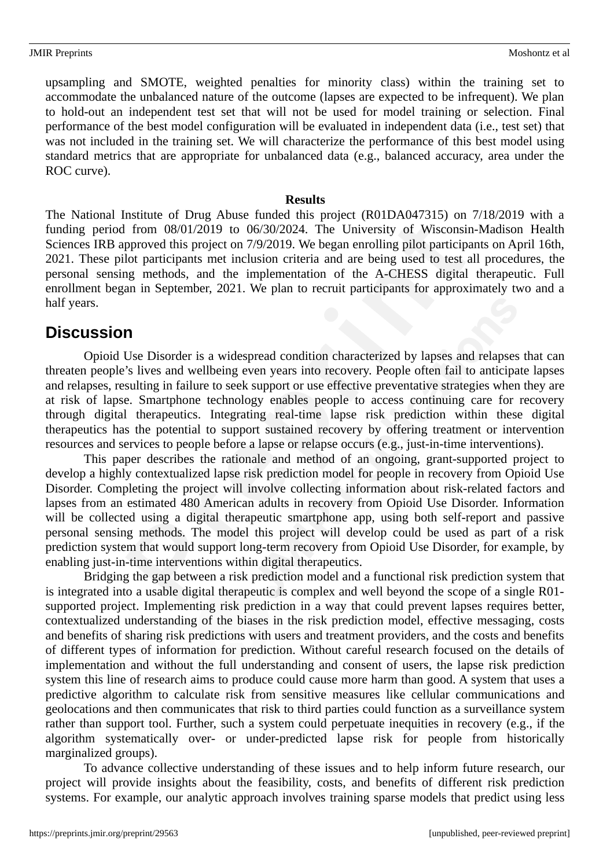upsampling and SMOTE, weighted penalties for minority class) within the training set to accommodate the unbalanced nature of the outcome (lapses are expected to be infrequent). We plan to hold-out an independent test set that will not be used for model training or selection. Final performance of the best model configuration will be evaluated in independent data (i.e., test set) that was not included in the training set. We will characterize the performance of this best model using standard metrics that are appropriate for unbalanced data (e.g., balanced accuracy, area under the ROC curve).

### **Results**

The National Institute of Drug Abuse funded this project (R01DA047315) on 7/18/2019 with a funding period from 08/01/2019 to 06/30/2024. The University of Wisconsin-Madison Health Sciences IRB approved this project on 7/9/2019. We began enrolling pilot participants on April 16th, 2021. These pilot participants met inclusion criteria and are being used to test all procedures, the personal sensing methods, and the implementation of the A-CHESS digital therapeutic. Full enrollment began in September, 2021. We plan to recruit participants for approximately two and a half years.

# **Discussion**

Opioid Use Disorder is a widespread condition characterized by lapses and relapses that can threaten people's lives and wellbeing even years into recovery. People often fail to anticipate lapses and relapses, resulting in failure to seek support or use effective preventative strategies when they are at risk of lapse. Smartphone technology enables people to access continuing care for recovery through digital therapeutics. Integrating real-time lapse risk prediction within these digital therapeutics has the potential to support sustained recovery by offering treatment or intervention resources and services to people before a lapse or relapse occurs (e.g., just-in-time interventions).

This paper describes the rationale and method of an ongoing, grant-supported project to develop a highly contextualized lapse risk prediction model for people in recovery from Opioid Use Disorder. Completing the project will involve collecting information about risk-related factors and lapses from an estimated 480 American adults in recovery from Opioid Use Disorder. Information will be collected using a digital therapeutic smartphone app, using both self-report and passive personal sensing methods. The model this project will develop could be used as part of a risk prediction system that would support long-term recovery from Opioid Use Disorder, for example, by enabling just-in-time interventions within digital therapeutics.

Bridging the gap between a risk prediction model and a functional risk prediction system that is integrated into a usable digital therapeutic is complex and well beyond the scope of a single R01 supported project. Implementing risk prediction in a way that could prevent lapses requires better, contextualized understanding of the biases in the risk prediction model, effective messaging, costs and benefits of sharing risk predictions with users and treatment providers, and the costs and benefits of different types of information for prediction. Without careful research focused on the details of implementation and without the full understanding and consent of users, the lapse risk prediction system this line of research aims to produce could cause more harm than good. A system that uses a predictive algorithm to calculate risk from sensitive measures like cellular communications and geolocations and then communicates that risk to third parties could function as a surveillance system rather than support tool. Further, such a system could perpetuate inequities in recovery (e.g., if the algorithm systematically over- or under-predicted lapse risk for people from historically marginalized groups).

To advance collective understanding of these issues and to help inform future research, our project will provide insights about the feasibility, costs, and benefits of different risk prediction systems. For example, our analytic approach involves training sparse models that predict using less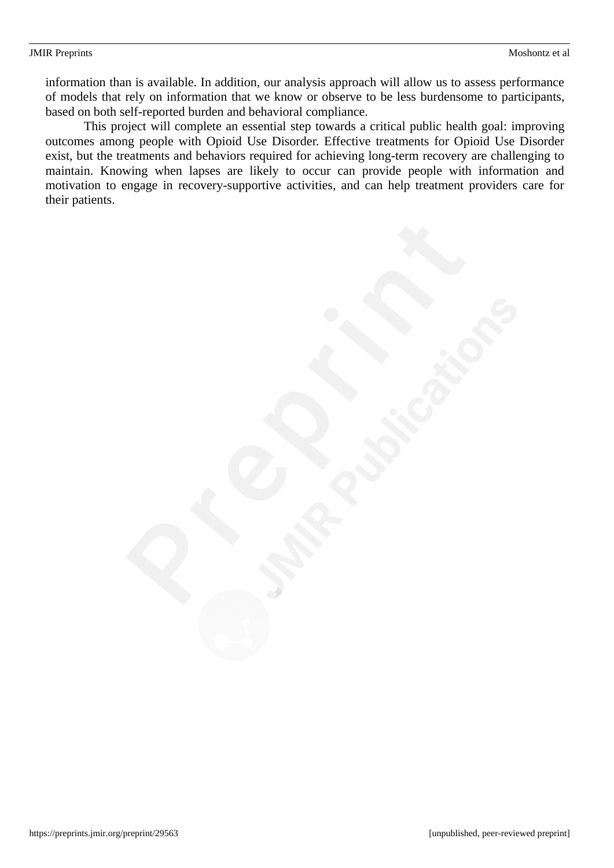information than is available. In addition, our analysis approach will allow us to assess performance of models that rely on information that we know or observe to be less burdensome to participants, based on both self-reported burden and behavioral compliance.

This project will complete an essential step towards a critical public health goal: improving outcomes among people with Opioid Use Disorder. Effective treatments for Opioid Use Disorder exist, but the treatments and behaviors required for achieving long-term recovery are challenging to maintain. Knowing when lapses are likely to occur can provide people with information and motivation to engage in recovery-supportive activities, and can help treatment providers care for their patients.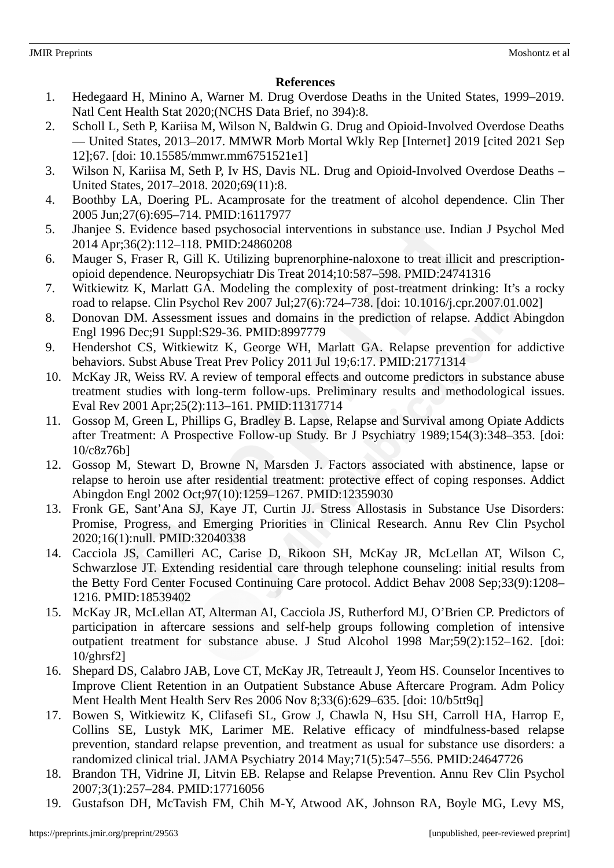### **References**

- 1. Hedegaard H, Minino A, Warner M. Drug Overdose Deaths in the United States, 1999–2019. Natl Cent Health Stat 2020;(NCHS Data Brief, no 394):8.
- 2. Scholl L, Seth P, Kariisa M, Wilson N, Baldwin G. Drug and Opioid-Involved Overdose Deaths — United States, 2013–2017. MMWR Morb Mortal Wkly Rep [Internet] 2019 [cited 2021 Sep 12];67. [doi: 10.15585/mmwr.mm6751521e1]
- 3. Wilson N, Kariisa M, Seth P, Iv HS, Davis NL. Drug and Opioid-Involved Overdose Deaths United States, 2017–2018. 2020;69(11):8.
- 4. Boothby LA, Doering PL. Acamprosate for the treatment of alcohol dependence. Clin Ther 2005 Jun;27(6):695–714. PMID:16117977
- 5. Jhanjee S. Evidence based psychosocial interventions in substance use. Indian J Psychol Med 2014 Apr;36(2):112–118. PMID:24860208
- 6. Mauger S, Fraser R, Gill K. Utilizing buprenorphine-naloxone to treat illicit and prescriptionopioid dependence. Neuropsychiatr Dis Treat 2014;10:587–598. PMID:24741316
- 7. Witkiewitz K, Marlatt GA. Modeling the complexity of post-treatment drinking: It's a rocky road to relapse. Clin Psychol Rev 2007 Jul;27(6):724–738. [doi: 10.1016/j.cpr.2007.01.002]
- 8. Donovan DM. Assessment issues and domains in the prediction of relapse. Addict Abingdon Engl 1996 Dec;91 Suppl:S29-36. PMID:8997779
- 9. Hendershot CS, Witkiewitz K, George WH, Marlatt GA. Relapse prevention for addictive behaviors. Subst Abuse Treat Prev Policy 2011 Jul 19;6:17. PMID:21771314
- 10. McKay JR, Weiss RV. A review of temporal effects and outcome predictors in substance abuse treatment studies with long-term follow-ups. Preliminary results and methodological issues. Eval Rev 2001 Apr;25(2):113–161. PMID:11317714
- 11. Gossop M, Green L, Phillips G, Bradley B. Lapse, Relapse and Survival among Opiate Addicts after Treatment: A Prospective Follow-up Study. Br J Psychiatry 1989;154(3):348–353. [doi: 10/c8z76b]
- 12. Gossop M, Stewart D, Browne N, Marsden J. Factors associated with abstinence, lapse or relapse to heroin use after residential treatment: protective effect of coping responses. Addict Abingdon Engl 2002 Oct;97(10):1259–1267. PMID:12359030
- 13. Fronk GE, Sant'Ana SJ, Kaye JT, Curtin JJ. Stress Allostasis in Substance Use Disorders: Promise, Progress, and Emerging Priorities in Clinical Research. Annu Rev Clin Psychol 2020;16(1):null. PMID:32040338
- 14. Cacciola JS, Camilleri AC, Carise D, Rikoon SH, McKay JR, McLellan AT, Wilson C, Schwarzlose JT. Extending residential care through telephone counseling: initial results from the Betty Ford Center Focused Continuing Care protocol. Addict Behav 2008 Sep;33(9):1208– 1216. PMID:18539402
- 15. McKay JR, McLellan AT, Alterman AI, Cacciola JS, Rutherford MJ, O'Brien CP. Predictors of participation in aftercare sessions and self-help groups following completion of intensive outpatient treatment for substance abuse. J Stud Alcohol 1998 Mar;59(2):152–162. [doi: 10/ghrsf2]
- 16. Shepard DS, Calabro JAB, Love CT, McKay JR, Tetreault J, Yeom HS. Counselor Incentives to Improve Client Retention in an Outpatient Substance Abuse Aftercare Program. Adm Policy Ment Health Ment Health Serv Res 2006 Nov 8;33(6):629–635. [doi: 10/b5tt9q]
- 17. Bowen S, Witkiewitz K, Clifasefi SL, Grow J, Chawla N, Hsu SH, Carroll HA, Harrop E, Collins SE, Lustyk MK, Larimer ME. Relative efficacy of mindfulness-based relapse prevention, standard relapse prevention, and treatment as usual for substance use disorders: a randomized clinical trial. JAMA Psychiatry 2014 May;71(5):547–556. PMID:24647726
- 18. Brandon TH, Vidrine JI, Litvin EB. Relapse and Relapse Prevention. Annu Rev Clin Psychol 2007;3(1):257–284. PMID:17716056
- 19. Gustafson DH, McTavish FM, Chih M-Y, Atwood AK, Johnson RA, Boyle MG, Levy MS,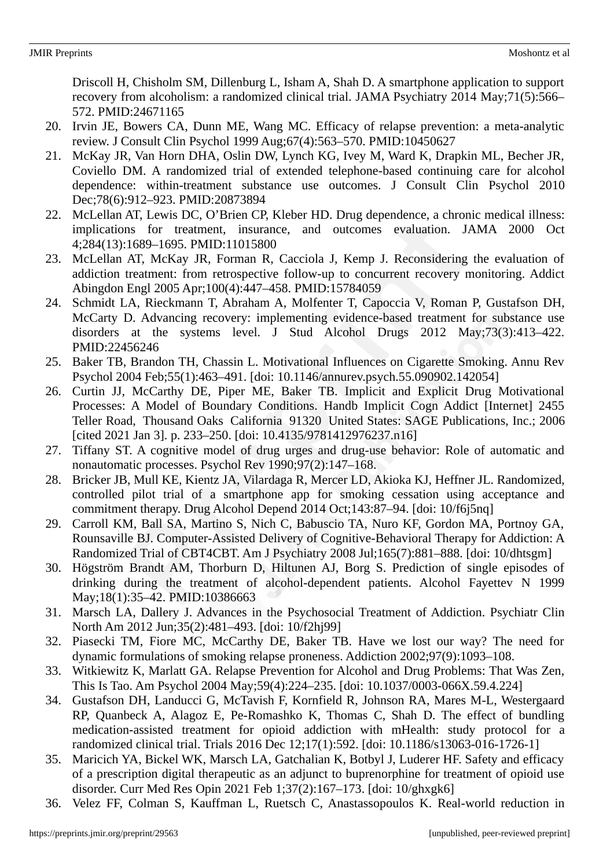Driscoll H, Chisholm SM, Dillenburg L, Isham A, Shah D. A smartphone application to support recovery from alcoholism: a randomized clinical trial. JAMA Psychiatry 2014 May;71(5):566– 572. PMID:24671165

- 20. Irvin JE, Bowers CA, Dunn ME, Wang MC. Efficacy of relapse prevention: a meta-analytic review. J Consult Clin Psychol 1999 Aug;67(4):563–570. PMID:10450627
- 21. McKay JR, Van Horn DHA, Oslin DW, Lynch KG, Ivey M, Ward K, Drapkin ML, Becher JR, Coviello DM. A randomized trial of extended telephone-based continuing care for alcohol dependence: within-treatment substance use outcomes. J Consult Clin Psychol 2010 Dec;78(6):912–923. PMID:20873894
- 22. McLellan AT, Lewis DC, O'Brien CP, Kleber HD. Drug dependence, a chronic medical illness: implications for treatment, insurance, and outcomes evaluation. JAMA 2000 Oct 4;284(13):1689–1695. PMID:11015800
- 23. McLellan AT, McKay JR, Forman R, Cacciola J, Kemp J. Reconsidering the evaluation of addiction treatment: from retrospective follow-up to concurrent recovery monitoring. Addict Abingdon Engl 2005 Apr;100(4):447–458. PMID:15784059
- 24. Schmidt LA, Rieckmann T, Abraham A, Molfenter T, Capoccia V, Roman P, Gustafson DH, McCarty D. Advancing recovery: implementing evidence-based treatment for substance use disorders at the systems level. J Stud Alcohol Drugs 2012 May;73(3):413–422. PMID:22456246
- 25. Baker TB, Brandon TH, Chassin L. Motivational Influences on Cigarette Smoking. Annu Rev Psychol 2004 Feb;55(1):463–491. [doi: 10.1146/annurev.psych.55.090902.142054]
- 26. Curtin JJ, McCarthy DE, Piper ME, Baker TB. Implicit and Explicit Drug Motivational Processes: A Model of Boundary Conditions. Handb Implicit Cogn Addict [Internet] 2455 Teller Road, Thousand Oaks California 91320 United States: SAGE Publications, Inc.; 2006 [cited 2021 Jan 3]. p. 233–250. [doi: 10.4135/9781412976237.n16]
- 27. Tiffany ST. A cognitive model of drug urges and drug-use behavior: Role of automatic and nonautomatic processes. Psychol Rev 1990;97(2):147–168.
- 28. Bricker JB, Mull KE, Kientz JA, Vilardaga R, Mercer LD, Akioka KJ, Heffner JL. Randomized, controlled pilot trial of a smartphone app for smoking cessation using acceptance and commitment therapy. Drug Alcohol Depend 2014 Oct;143:87–94. [doi: 10/f6j5nq]
- 29. Carroll KM, Ball SA, Martino S, Nich C, Babuscio TA, Nuro KF, Gordon MA, Portnoy GA, Rounsaville BJ. Computer-Assisted Delivery of Cognitive-Behavioral Therapy for Addiction: A Randomized Trial of CBT4CBT. Am J Psychiatry 2008 Jul;165(7):881–888. [doi: 10/dhtsgm]
- 30. Högström Brandt AM, Thorburn D, Hiltunen AJ, Borg S. Prediction of single episodes of drinking during the treatment of alcohol-dependent patients. Alcohol Fayettev N 1999 May;18(1):35–42. PMID:10386663
- 31. Marsch LA, Dallery J. Advances in the Psychosocial Treatment of Addiction. Psychiatr Clin North Am 2012 Jun;35(2):481–493. [doi: 10/f2hj99]
- 32. Piasecki TM, Fiore MC, McCarthy DE, Baker TB. Have we lost our way? The need for dynamic formulations of smoking relapse proneness. Addiction 2002;97(9):1093–108.
- 33. Witkiewitz K, Marlatt GA. Relapse Prevention for Alcohol and Drug Problems: That Was Zen, This Is Tao. Am Psychol 2004 May;59(4):224–235. [doi: 10.1037/0003-066X.59.4.224]
- 34. Gustafson DH, Landucci G, McTavish F, Kornfield R, Johnson RA, Mares M-L, Westergaard RP, Quanbeck A, Alagoz E, Pe-Romashko K, Thomas C, Shah D. The effect of bundling medication-assisted treatment for opioid addiction with mHealth: study protocol for a randomized clinical trial. Trials 2016 Dec 12;17(1):592. [doi: 10.1186/s13063-016-1726-1]
- 35. Maricich YA, Bickel WK, Marsch LA, Gatchalian K, Botbyl J, Luderer HF. Safety and efficacy of a prescription digital therapeutic as an adjunct to buprenorphine for treatment of opioid use disorder. Curr Med Res Opin 2021 Feb 1;37(2):167–173. [doi: 10/ghxgk6]
- 36. Velez FF, Colman S, Kauffman L, Ruetsch C, Anastassopoulos K. Real-world reduction in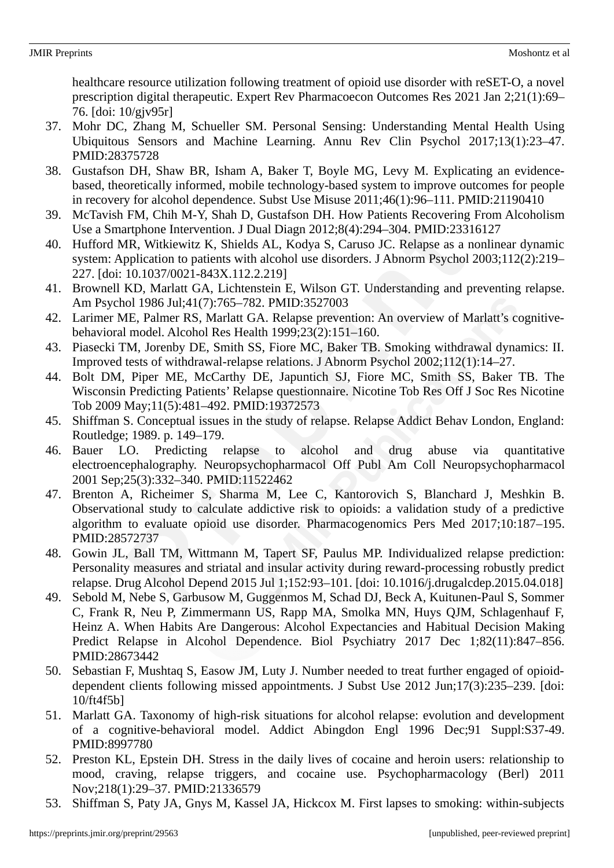healthcare resource utilization following treatment of opioid use disorder with reSET-O, a novel prescription digital therapeutic. Expert Rev Pharmacoecon Outcomes Res 2021 Jan 2;21(1):69– 76. [doi: 10/gjv95r]

- 37. Mohr DC, Zhang M, Schueller SM. Personal Sensing: Understanding Mental Health Using Ubiquitous Sensors and Machine Learning. Annu Rev Clin Psychol 2017;13(1):23–47. PMID:28375728
- 38. Gustafson DH, Shaw BR, Isham A, Baker T, Boyle MG, Levy M. Explicating an evidencebased, theoretically informed, mobile technology-based system to improve outcomes for people in recovery for alcohol dependence. Subst Use Misuse 2011;46(1):96–111. PMID:21190410
- 39. McTavish FM, Chih M-Y, Shah D, Gustafson DH. How Patients Recovering From Alcoholism Use a Smartphone Intervention. J Dual Diagn 2012;8(4):294–304. PMID:23316127
- 40. Hufford MR, Witkiewitz K, Shields AL, Kodya S, Caruso JC. Relapse as a nonlinear dynamic system: Application to patients with alcohol use disorders. J Abnorm Psychol 2003;112(2):219– 227. [doi: 10.1037/0021-843X.112.2.219]
- 41. Brownell KD, Marlatt GA, Lichtenstein E, Wilson GT. Understanding and preventing relapse. Am Psychol 1986 Jul;41(7):765–782. PMID:3527003
- 42. Larimer ME, Palmer RS, Marlatt GA. Relapse prevention: An overview of Marlatt's cognitivebehavioral model. Alcohol Res Health 1999;23(2):151–160.
- 43. Piasecki TM, Jorenby DE, Smith SS, Fiore MC, Baker TB. Smoking withdrawal dynamics: II. Improved tests of withdrawal-relapse relations. J Abnorm Psychol 2002;112(1):14–27.
- 44. Bolt DM, Piper ME, McCarthy DE, Japuntich SJ, Fiore MC, Smith SS, Baker TB. The Wisconsin Predicting Patients' Relapse questionnaire. Nicotine Tob Res Off J Soc Res Nicotine Tob 2009 May;11(5):481–492. PMID:19372573
- 45. Shiffman S. Conceptual issues in the study of relapse. Relapse Addict Behav London, England: Routledge; 1989. p. 149–179.
- 46. Bauer LO. Predicting relapse to alcohol and drug abuse via quantitative electroencephalography. Neuropsychopharmacol Off Publ Am Coll Neuropsychopharmacol 2001 Sep;25(3):332–340. PMID:11522462
- 47. Brenton A, Richeimer S, Sharma M, Lee C, Kantorovich S, Blanchard J, Meshkin B. Observational study to calculate addictive risk to opioids: a validation study of a predictive algorithm to evaluate opioid use disorder. Pharmacogenomics Pers Med 2017;10:187–195. PMID:28572737
- 48. Gowin JL, Ball TM, Wittmann M, Tapert SF, Paulus MP. Individualized relapse prediction: Personality measures and striatal and insular activity during reward-processing robustly predict relapse. Drug Alcohol Depend 2015 Jul 1;152:93–101. [doi: 10.1016/j.drugalcdep.2015.04.018]
- 49. Sebold M, Nebe S, Garbusow M, Guggenmos M, Schad DJ, Beck A, Kuitunen-Paul S, Sommer C, Frank R, Neu P, Zimmermann US, Rapp MA, Smolka MN, Huys QJM, Schlagenhauf F, Heinz A. When Habits Are Dangerous: Alcohol Expectancies and Habitual Decision Making Predict Relapse in Alcohol Dependence. Biol Psychiatry 2017 Dec 1;82(11):847–856. PMID:28673442
- 50. Sebastian F, Mushtaq S, Easow JM, Luty J. Number needed to treat further engaged of opioiddependent clients following missed appointments. J Subst Use 2012 Jun;17(3):235–239. [doi: 10/ft4f5b]
- 51. Marlatt GA. Taxonomy of high-risk situations for alcohol relapse: evolution and development of a cognitive-behavioral model. Addict Abingdon Engl 1996 Dec;91 Suppl:S37-49. PMID:8997780
- 52. Preston KL, Epstein DH. Stress in the daily lives of cocaine and heroin users: relationship to mood, craving, relapse triggers, and cocaine use. Psychopharmacology (Berl) 2011 Nov;218(1):29–37. PMID:21336579
- 53. Shiffman S, Paty JA, Gnys M, Kassel JA, Hickcox M. First lapses to smoking: within-subjects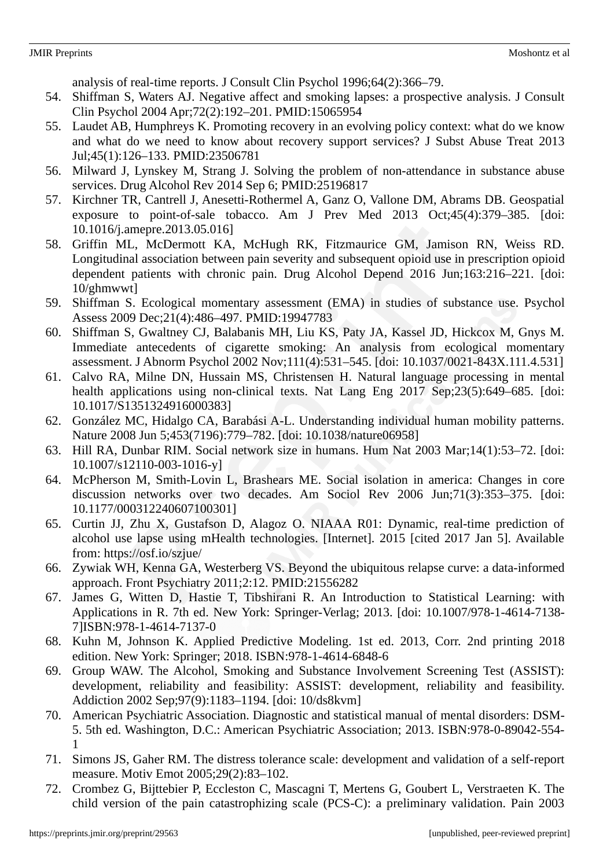analysis of real-time reports. J Consult Clin Psychol 1996;64(2):366–79.

- 54. Shiffman S, Waters AJ. Negative affect and smoking lapses: a prospective analysis. J Consult Clin Psychol 2004 Apr;72(2):192–201. PMID:15065954
- 55. Laudet AB, Humphreys K. Promoting recovery in an evolving policy context: what do we know and what do we need to know about recovery support services? J Subst Abuse Treat 2013 Jul;45(1):126–133. PMID:23506781
- 56. Milward J, Lynskey M, Strang J. Solving the problem of non-attendance in substance abuse services. Drug Alcohol Rev 2014 Sep 6; PMID:25196817
- 57. Kirchner TR, Cantrell J, Anesetti-Rothermel A, Ganz O, Vallone DM, Abrams DB. Geospatial exposure to point-of-sale tobacco. Am J Prev Med 2013 Oct;45(4):379–385. [doi: 10.1016/j.amepre.2013.05.016]
- 58. Griffin ML, McDermott KA, McHugh RK, Fitzmaurice GM, Jamison RN, Weiss RD. Longitudinal association between pain severity and subsequent opioid use in prescription opioid dependent patients with chronic pain. Drug Alcohol Depend 2016 Jun;163:216–221. [doi: 10/ghmwwt]
- 59. Shiffman S. Ecological momentary assessment (EMA) in studies of substance use. Psychol Assess 2009 Dec;21(4):486–497. PMID:19947783
- 60. Shiffman S, Gwaltney CJ, Balabanis MH, Liu KS, Paty JA, Kassel JD, Hickcox M, Gnys M. Immediate antecedents of cigarette smoking: An analysis from ecological momentary assessment. J Abnorm Psychol 2002 Nov;111(4):531–545. [doi: 10.1037/0021-843X.111.4.531]
- 61. Calvo RA, Milne DN, Hussain MS, Christensen H. Natural language processing in mental health applications using non-clinical texts. Nat Lang Eng 2017 Sep;23(5):649–685. [doi: 10.1017/S1351324916000383]
- 62. González MC, Hidalgo CA, Barabási A-L. Understanding individual human mobility patterns. Nature 2008 Jun 5;453(7196):779–782. [doi: 10.1038/nature06958]
- 63. Hill RA, Dunbar RIM. Social network size in humans. Hum Nat 2003 Mar;14(1):53–72. [doi: 10.1007/s12110-003-1016-y]
- 64. McPherson M, Smith-Lovin L, Brashears ME. Social isolation in america: Changes in core discussion networks over two decades. Am Sociol Rev 2006 Jun;71(3):353–375. [doi: 10.1177/000312240607100301]
- 65. Curtin JJ, Zhu X, Gustafson D, Alagoz O. NIAAA R01: Dynamic, real-time prediction of alcohol use lapse using mHealth technologies. [Internet]. 2015 [cited 2017 Jan 5]. Available from: https://osf.io/szjue/
- 66. Zywiak WH, Kenna GA, Westerberg VS. Beyond the ubiquitous relapse curve: a data-informed approach. Front Psychiatry 2011;2:12. PMID:21556282
- 67. James G, Witten D, Hastie T, Tibshirani R. An Introduction to Statistical Learning: with Applications in R. 7th ed. New York: Springer-Verlag; 2013. [doi: 10.1007/978-1-4614-7138- 7]ISBN:978-1-4614-7137-0
- 68. Kuhn M, Johnson K. Applied Predictive Modeling. 1st ed. 2013, Corr. 2nd printing 2018 edition. New York: Springer; 2018. ISBN:978-1-4614-6848-6
- 69. Group WAW. The Alcohol, Smoking and Substance Involvement Screening Test (ASSIST): development, reliability and feasibility: ASSIST: development, reliability and feasibility. Addiction 2002 Sep;97(9):1183–1194. [doi: 10/ds8kvm]
- 70. American Psychiatric Association. Diagnostic and statistical manual of mental disorders: DSM-5. 5th ed. Washington, D.C.: American Psychiatric Association; 2013. ISBN:978-0-89042-554- 1
- 71. Simons JS, Gaher RM. The distress tolerance scale: development and validation of a self-report measure. Motiv Emot 2005;29(2):83–102.
- 72. Crombez G, Bijttebier P, Eccleston C, Mascagni T, Mertens G, Goubert L, Verstraeten K. The child version of the pain catastrophizing scale (PCS-C): a preliminary validation. Pain 2003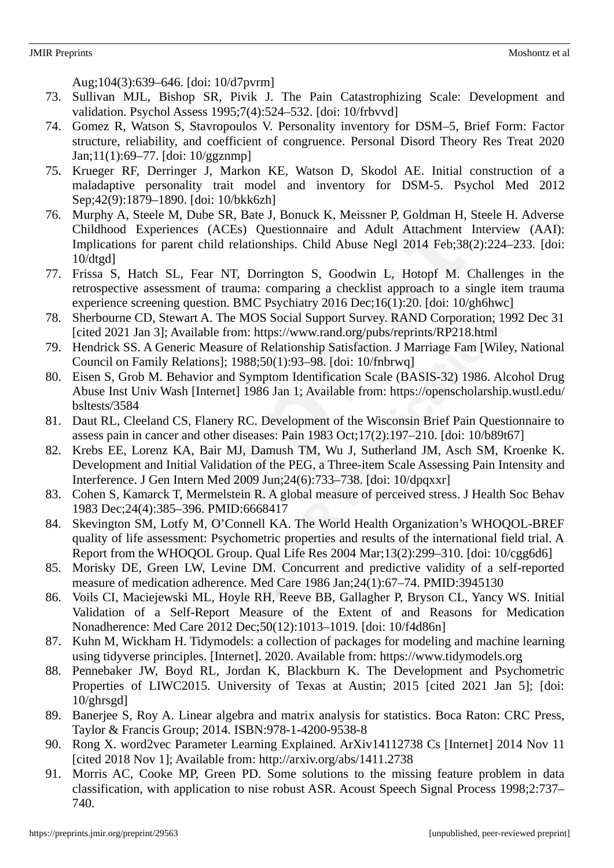Aug;104(3):639–646. [doi: 10/d7pvrm]

- 73. Sullivan MJL, Bishop SR, Pivik J. The Pain Catastrophizing Scale: Development and validation. Psychol Assess 1995;7(4):524–532. [doi: 10/frbvvd]
- 74. Gomez R, Watson S, Stavropoulos V. Personality inventory for DSM–5, Brief Form: Factor structure, reliability, and coefficient of congruence. Personal Disord Theory Res Treat 2020 Jan;11(1):69–77. [doi: 10/ggznmp]
- 75. Krueger RF, Derringer J, Markon KE, Watson D, Skodol AE. Initial construction of a maladaptive personality trait model and inventory for DSM-5. Psychol Med 2012 Sep;42(9):1879–1890. [doi: 10/bkk6zh]
- 76. Murphy A, Steele M, Dube SR, Bate J, Bonuck K, Meissner P, Goldman H, Steele H. Adverse Childhood Experiences (ACEs) Questionnaire and Adult Attachment Interview (AAI): Implications for parent child relationships. Child Abuse Negl 2014 Feb;38(2):224–233. [doi: 10/dtgd]
- 77. Frissa S, Hatch SL, Fear NT, Dorrington S, Goodwin L, Hotopf M. Challenges in the retrospective assessment of trauma: comparing a checklist approach to a single item trauma experience screening question. BMC Psychiatry 2016 Dec;16(1):20. [doi: 10/gh6hwc]
- 78. Sherbourne CD, Stewart A. The MOS Social Support Survey. RAND Corporation; 1992 Dec 31 [cited 2021 Jan 3]; Available from: https://www.rand.org/pubs/reprints/RP218.html
- 79. Hendrick SS. A Generic Measure of Relationship Satisfaction. J Marriage Fam [Wiley, National Council on Family Relations]; 1988;50(1):93–98. [doi: 10/fnbrwq]
- 80. Eisen S, Grob M. Behavior and Symptom Identification Scale (BASIS-32) 1986. Alcohol Drug Abuse Inst Univ Wash [Internet] 1986 Jan 1; Available from: https://openscholarship.wustl.edu/ bsltests/3584
- 81. Daut RL, Cleeland CS, Flanery RC. Development of the Wisconsin Brief Pain Questionnaire to assess pain in cancer and other diseases: Pain 1983 Oct;17(2):197–210. [doi: 10/b89t67]
- 82. Krebs EE, Lorenz KA, Bair MJ, Damush TM, Wu J, Sutherland JM, Asch SM, Kroenke K. Development and Initial Validation of the PEG, a Three-item Scale Assessing Pain Intensity and Interference. J Gen Intern Med 2009 Jun;24(6):733–738. [doi: 10/dpqxxr]
- 83. Cohen S, Kamarck T, Mermelstein R. A global measure of perceived stress. J Health Soc Behav 1983 Dec;24(4):385–396. PMID:6668417
- 84. Skevington SM, Lotfy M, O'Connell KA. The World Health Organization's WHOQOL-BREF quality of life assessment: Psychometric properties and results of the international field trial. A Report from the WHOQOL Group. Qual Life Res 2004 Mar;13(2):299–310. [doi: 10/cgg6d6]
- 85. Morisky DE, Green LW, Levine DM. Concurrent and predictive validity of a self-reported measure of medication adherence. Med Care 1986 Jan;24(1):67–74. PMID:3945130
- 86. Voils CI, Maciejewski ML, Hoyle RH, Reeve BB, Gallagher P, Bryson CL, Yancy WS. Initial Validation of a Self-Report Measure of the Extent of and Reasons for Medication Nonadherence: Med Care 2012 Dec;50(12):1013–1019. [doi: 10/f4d86n]
- 87. Kuhn M, Wickham H. Tidymodels: a collection of packages for modeling and machine learning using tidyverse principles. [Internet]. 2020. Available from: https://www.tidymodels.org
- 88. Pennebaker JW, Boyd RL, Jordan K, Blackburn K. The Development and Psychometric Properties of LIWC2015. University of Texas at Austin; 2015 [cited 2021 Jan 5]; [doi: 10/ghrsgd]
- 89. Banerjee S, Roy A. Linear algebra and matrix analysis for statistics. Boca Raton: CRC Press, Taylor & Francis Group; 2014. ISBN:978-1-4200-9538-8
- 90. Rong X. word2vec Parameter Learning Explained. ArXiv14112738 Cs [Internet] 2014 Nov 11 [cited 2018 Nov 1]; Available from: http://arxiv.org/abs/1411.2738
- 91. Morris AC, Cooke MP, Green PD. Some solutions to the missing feature problem in data classification, with application to nise robust ASR. Acoust Speech Signal Process 1998;2:737– 740.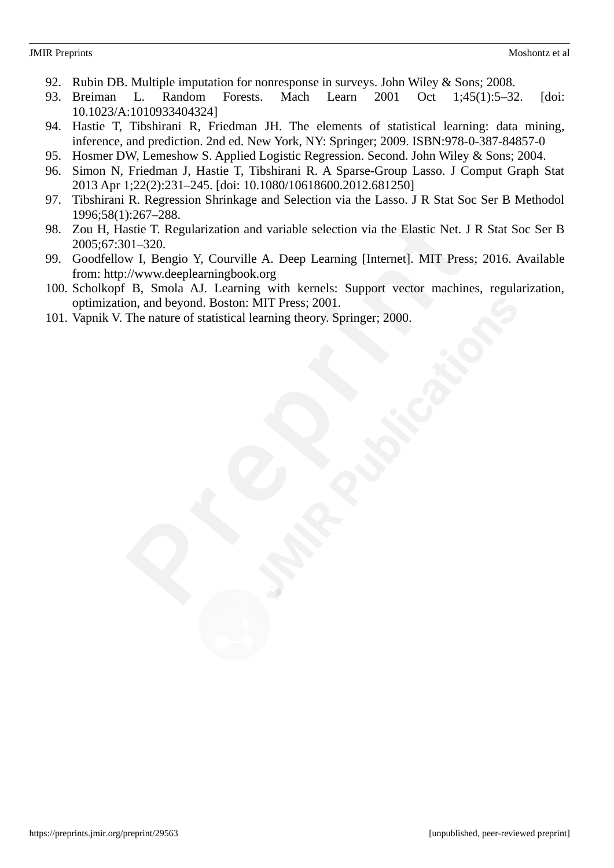- 92. Rubin DB. Multiple imputation for nonresponse in surveys. John Wiley & Sons; 2008.
- 93. Breiman L. Random Forests. Mach Learn 2001 Oct 1;45(1):5–32. [doi: 10.1023/A:1010933404324]
- 94. Hastie T, Tibshirani R, Friedman JH. The elements of statistical learning: data mining, inference, and prediction. 2nd ed. New York, NY: Springer; 2009. ISBN:978-0-387-84857-0
- 95. Hosmer DW, Lemeshow S. Applied Logistic Regression. Second. John Wiley & Sons; 2004.
- 96. Simon N, Friedman J, Hastie T, Tibshirani R. A Sparse-Group Lasso. J Comput Graph Stat 2013 Apr 1;22(2):231–245. [doi: 10.1080/10618600.2012.681250]
- 97. Tibshirani R. Regression Shrinkage and Selection via the Lasso. J R Stat Soc Ser B Methodol 1996;58(1):267–288.
- 98. Zou H, Hastie T. Regularization and variable selection via the Elastic Net. J R Stat Soc Ser B 2005;67:301–320.
- 99. Goodfellow I, Bengio Y, Courville A. Deep Learning [Internet]. MIT Press; 2016. Available from: http://www.deeplearningbook.org
- 100. Scholkopf B, Smola AJ. Learning with kernels: Support vector machines, regularization, optimization, and beyond. Boston: MIT Press; 2001.
- 101. Vapnik V. The nature of statistical learning theory. Springer; 2000.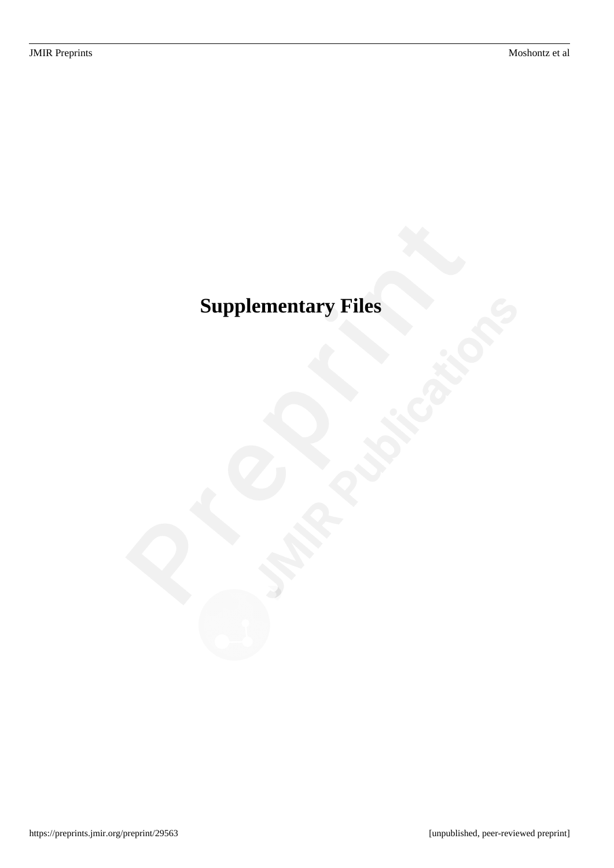# <span id="page-23-0"></span>**Supplementary Files**